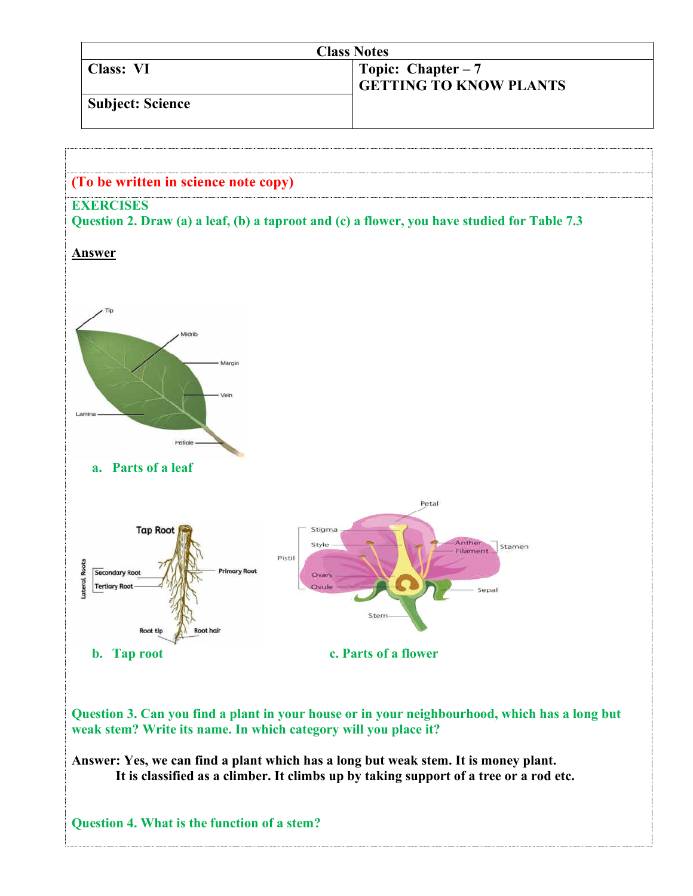| <b>Class Notes</b> |                                                      |
|--------------------|------------------------------------------------------|
| Class: VI          | Topic: Chapter $-7$<br><b>GETTING TO KNOW PLANTS</b> |
| Subject: Science   |                                                      |



**weak stem? Write its name. In which category will you place it?** 

**Answer: Yes, we can find a plant which has a long but weak stem. It is money plant. It is classified as a climber. It climbs up by taking support of a tree or a rod etc.** 

**Question 4. What is the function of a stem?**